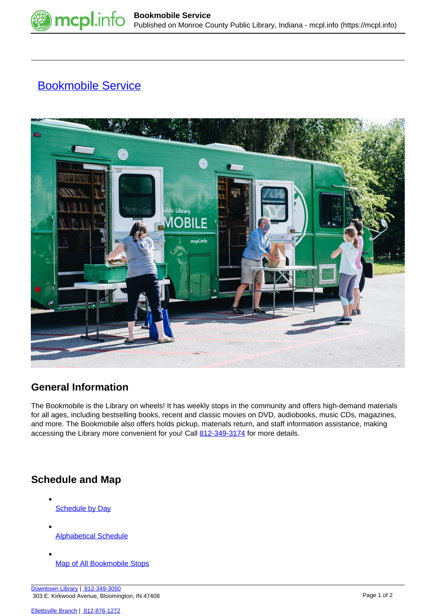

## **[Bookmobile Service](https://mcpl.info/outreach/bookmobile-service)**



## **General Information**

The Bookmobile is the Library on wheels! It has weekly stops in the community and offers high-demand materials for all ages, including bestselling books, recent and classic movies on DVD, audiobooks, music CDs, magazines, and more. The Bookmobile also offers holds pickup, materials return, and staff information assistance, making accessing the Library more convenient for you! Call [812-349-3174](tel:812-349-3174) for more details.

## **Schedule and Map**

- **[Schedule by Day](https://mcpl.info/outreach/bkm-schedule)**
- [Alphabetical Schedule](https://mcpl.info/outreach/bkm-alphabetical)
- [Map of All Bookmobile Stops](https://mcpl.info/outreach/bkmmap)